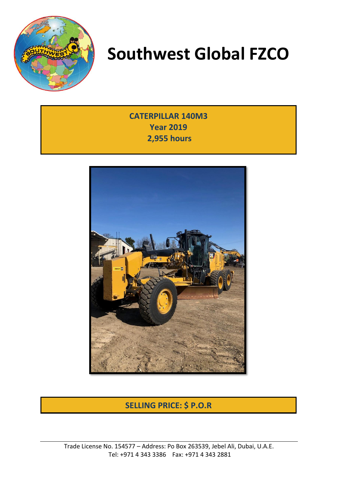

**CATERPILLAR 140M3 Year 2019 2,955 hours**



### **SELLING PRICE: \$ P.O.R**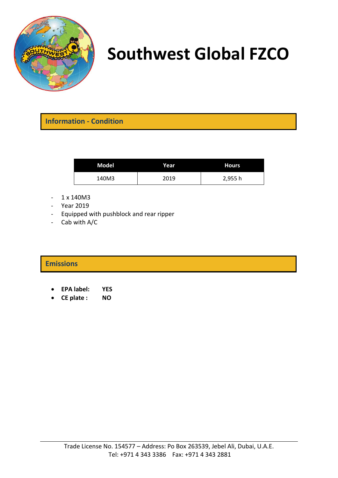

**Information - Condition**

| Model | Year | <b>Hours</b> |
|-------|------|--------------|
| 140M3 | 2019 | 2,955h       |

- $1 \times 140M3$
- Year 2019
- Equipped with pushblock and rear ripper
- Cab with A/C

#### **Emissions**

- **EPA label: YES**
- **CE plate : NO**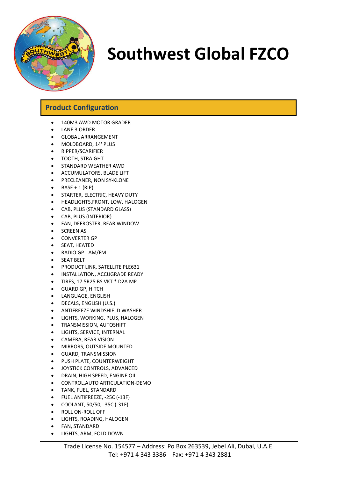

#### **Product Configuration**

- 140M3 AWD MOTOR GRADER
- LANE 3 ORDER
- GLOBAL ARRANGEMENT
- MOLDBOARD, 14' PLUS
- RIPPER/SCARIFIER
- TOOTH, STRAIGHT
- STANDARD WEATHER AWD
- ACCUMULATORS, BLADE LIFT
- PRECLEANER, NON SY-KLONE
- $\bullet$  BASE + 1 (RIP)
- STARTER, ELECTRIC, HEAVY DUTY
- HEADLIGHTS,FRONT, LOW, HALOGEN
- CAB, PLUS (STANDARD GLASS)
- CAB, PLUS (INTERIOR)
- FAN, DEFROSTER, REAR WINDOW
- **SCREEN AS**
- CONVERTER GP
- SEAT, HEATED
- RADIO GP AM/FM
- SEAT BELT
- PRODUCT LINK, SATELLITE PLE631
- INSTALLATION, ACCUGRADE READY
- TIRES, 17.5R25 BS VKT \* D2A MP
- GUARD GP, HITCH
- LANGUAGE, ENGLISH
- DECALS, ENGLISH (U.S.)
- ANTIFREEZE WINDSHIELD WASHER
- LIGHTS, WORKING, PLUS, HALOGEN
- TRANSMISSION, AUTOSHIFT
- LIGHTS, SERVICE, INTERNAL
- CAMERA, REAR VISION
- MIRRORS, OUTSIDE MOUNTED
- GUARD, TRANSMISSION
- PUSH PLATE, COUNTERWEIGHT
- JOYSTICK CONTROLS, ADVANCED
- DRAIN, HIGH SPEED, ENGINE OIL
- CONTROL,AUTO ARTICULATION-DEMO
- TANK, FUEL, STANDARD
- FUEL ANTIFREEZE, -25C (-13F)
- COOLANT, 50/50, -35C (-31F)
- ROLL ON-ROLL OFF
- LIGHTS, ROADING, HALOGEN
- FAN, STANDARD
- LIGHTS, ARM, FOLD DOWN